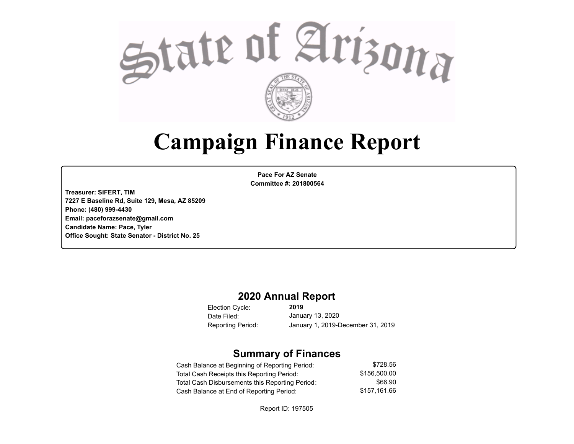

# **Campaign Finance Report**

**Pace For AZ Senate Committee #: 201800564**

**Treasurer: SIFERT, TIM 7227 E Baseline Rd, Suite 129, Mesa, AZ 85209 Phone: (480) 999-4430 Email: paceforazsenate@gmail.com Candidate Name: Pace, Tyler Office Sought: State Senator - District No. 25**

### **2020 Annual Report**

Election Cycle: Date Filed:

**2019** January 13, 2020 Reporting Period: January 1, 2019-December 31, 2019

### **Summary of Finances**

| Cash Balance at Beginning of Reporting Period:  | \$728.56     |
|-------------------------------------------------|--------------|
| Total Cash Receipts this Reporting Period:      | \$156.500.00 |
| Total Cash Disbursements this Reporting Period: | \$66.90      |
| Cash Balance at End of Reporting Period:        | \$157.161.66 |

Report ID: 197505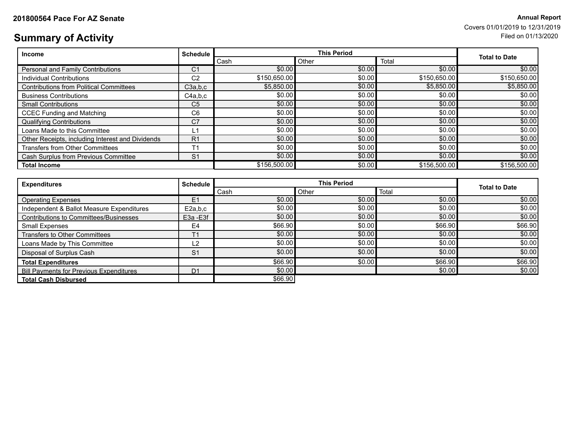# **201800564 Pace For Annual Report AZ Senate** Covers 01/01/2019 to 12/31/2019

# **Summary of Activity** Filed on 01/13/2020

| <b>Income</b>                                    | <b>Schedule</b> | <b>This Period</b> |        |              | <b>Total to Date</b> |
|--------------------------------------------------|-----------------|--------------------|--------|--------------|----------------------|
|                                                  |                 | Cash               | Other  | Total        |                      |
| <b>Personal and Family Contributions</b>         | C <sub>1</sub>  | \$0.00             | \$0.00 | \$0.00       | \$0.00               |
| Individual Contributions                         | C <sub>2</sub>  | \$150,650.00       | \$0.00 | \$150,650.00 | \$150,650.00         |
| <b>Contributions from Political Committees</b>   | C3a,b,c         | \$5,850.00         | \$0.00 | \$5,850.00   | \$5,850.00           |
| <b>Business Contributions</b>                    | C4a.b.c         | \$0.00             | \$0.00 | \$0.00       | \$0.00               |
| <b>Small Contributions</b>                       | C <sub>5</sub>  | \$0.00             | \$0.00 | \$0.00       | \$0.00               |
| <b>CCEC Funding and Matching</b>                 | C <sub>6</sub>  | \$0.00             | \$0.00 | \$0.00       | \$0.00               |
| <b>Qualifying Contributions</b>                  | C <sub>7</sub>  | \$0.00             | \$0.00 | \$0.00       | \$0.00               |
| Loans Made to this Committee                     | L1              | \$0.00             | \$0.00 | \$0.00       | \$0.00               |
| Other Receipts, including Interest and Dividends | R <sub>1</sub>  | \$0.00             | \$0.00 | \$0.00       | \$0.00               |
| <b>Transfers from Other Committees</b>           | T <sub>1</sub>  | \$0.00             | \$0.00 | \$0.00       | \$0.00               |
| Cash Surplus from Previous Committee             | S <sub>1</sub>  | \$0.00             | \$0.00 | \$0.00       | \$0.00               |
| <b>Total Income</b>                              |                 | \$156,500.00       | \$0.00 | \$156,500.00 | \$156,500.00         |

| <b>Expenditures</b>                            | <b>Schedule</b> | <b>This Period</b> |        |         |                      |
|------------------------------------------------|-----------------|--------------------|--------|---------|----------------------|
|                                                |                 | Cash               | Other  | Total   | <b>Total to Date</b> |
| <b>Operating Expenses</b>                      | E <sub>1</sub>  | \$0.00             | \$0.00 | \$0.00  | \$0.00]              |
| Independent & Ballot Measure Expenditures      | E2a,b,c         | \$0.00             | \$0.00 | \$0.00  | \$0.00               |
| Contributions to Committees/Businesses         | E3a - E3f       | \$0.00             | \$0.00 | \$0.00  | \$0.00]              |
| Small Expenses                                 | E <sub>4</sub>  | \$66.90            | \$0.00 | \$66.90 | \$66.90              |
| Transfers to Other Committees                  | T <sub>1</sub>  | \$0.00             | \$0.00 | \$0.00  | \$0.00]              |
| Loans Made by This Committee                   | L2              | \$0.00             | \$0.00 | \$0.00  | \$0.00               |
| Disposal of Surplus Cash                       | S <sub>1</sub>  | \$0.00             | \$0.00 | \$0.00  | \$0.00               |
| <b>Total Expenditures</b>                      |                 | \$66.90            | \$0.00 | \$66.90 | \$66.90              |
| <b>Bill Payments for Previous Expenditures</b> | D <sub>1</sub>  | \$0.00             |        | \$0.00  | \$0.00               |
| <b>Total Cash Disbursed</b>                    |                 | \$66.90            |        |         |                      |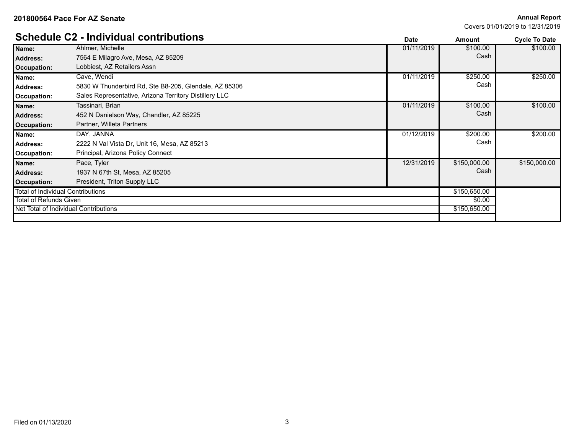### **201800564 Pace For AZ Senate**

**Annual Report**

Covers 01/01/2019 to 12/31/2019

|                                          | <b>Schedule C2 - Individual contributions</b>          | <b>Date</b> | <b>Amount</b> | <b>Cycle To Date</b> |
|------------------------------------------|--------------------------------------------------------|-------------|---------------|----------------------|
| Name:                                    | Ahlmer, Michelle                                       | 01/11/2019  | \$100.00      | \$100.00             |
| <b>Address:</b>                          | 7564 E Milagro Ave, Mesa, AZ 85209                     |             | Cash          |                      |
| Occupation:                              | Lobbiest, AZ Retailers Assn                            |             |               |                      |
| Name:                                    | Cave, Wendi                                            | 01/11/2019  | \$250.00      | \$250.00             |
| <b>Address:</b>                          | 5830 W Thunderbird Rd, Ste B8-205, Glendale, AZ 85306  |             | Cash          |                      |
| Occupation:                              | Sales Representative, Arizona Territory Distillery LLC |             |               |                      |
| Name:                                    | Tassinari, Brian                                       | 01/11/2019  | \$100.00      | \$100.00             |
| <b>Address:</b>                          | 452 N Danielson Way, Chandler, AZ 85225                |             | Cash          |                      |
| Occupation:                              | Partner, Willeta Partners                              |             |               |                      |
| Name:                                    | DAY, JANNA                                             | 01/12/2019  | \$200.00      | \$200.00             |
| <b>Address:</b>                          | 2222 N Val Vista Dr, Unit 16, Mesa, AZ 85213           |             | Cash          |                      |
| Occupation:                              | Principal, Arizona Policy Connect                      |             |               |                      |
| Name:                                    | Pace, Tyler                                            | 12/31/2019  | \$150,000.00  | \$150,000.00         |
| <b>Address:</b>                          | 1937 N 67th St, Mesa, AZ 85205                         |             | Cash          |                      |
| Occupation:                              | President, Triton Supply LLC                           |             |               |                      |
| <b>Total of Individual Contributions</b> |                                                        |             | \$150,650.00  |                      |
| <b>Total of Refunds Given</b>            |                                                        | \$0.00      |               |                      |
|                                          | Net Total of Individual Contributions                  |             | \$150,650.00  |                      |
|                                          |                                                        |             |               |                      |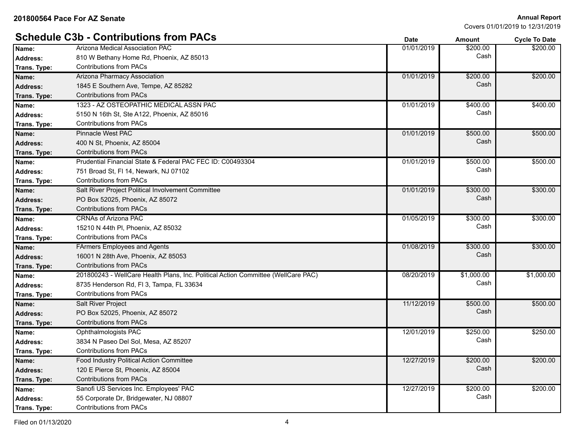**Annual Report**

Covers 01/01/2019 to 12/31/2019

|                 | <b>Schedule C3b - Contributions from PACs</b>                                     | <b>Date</b> | <b>Amount</b> | <b>Cycle To Date</b> |
|-----------------|-----------------------------------------------------------------------------------|-------------|---------------|----------------------|
| Name:           | Arizona Medical Association PAC                                                   | 01/01/2019  | \$200.00      | \$200.00             |
| <b>Address:</b> | 810 W Bethany Home Rd, Phoenix, AZ 85013                                          |             | Cash          |                      |
| Trans. Type:    | <b>Contributions from PACs</b>                                                    |             |               |                      |
| Name:           | Arizona Pharmacy Association                                                      | 01/01/2019  | \$200.00      | \$200.00             |
| <b>Address:</b> | 1845 E Southern Ave, Tempe, AZ 85282                                              |             | Cash          |                      |
| Trans. Type:    | <b>Contributions from PACs</b>                                                    |             |               |                      |
| Name:           | 1323 - AZ OSTEOPATHIC MEDICAL ASSN PAC                                            | 01/01/2019  | \$400.00      | \$400.00             |
| <b>Address:</b> | 5150 N 16th St, Ste A122, Phoenix, AZ 85016                                       |             | Cash          |                      |
| Trans. Type:    | <b>Contributions from PACs</b>                                                    |             |               |                      |
| Name:           | <b>Pinnacle West PAC</b>                                                          | 01/01/2019  | \$500.00      | \$500.00             |
| <b>Address:</b> | 400 N St, Phoenix, AZ 85004                                                       |             | Cash          |                      |
| Trans. Type:    | <b>Contributions from PACs</b>                                                    |             |               |                      |
| Name:           | Prudential Financial State & Federal PAC FEC ID: C00493304                        | 01/01/2019  | \$500.00      | \$500.00             |
| Address:        | 751 Broad St, FI 14, Newark, NJ 07102                                             |             | Cash          |                      |
| Trans. Type:    | <b>Contributions from PACs</b>                                                    |             |               |                      |
| Name:           | Salt River Project Political Involvement Committee                                | 01/01/2019  | \$300.00      | \$300.00             |
| <b>Address:</b> | PO Box 52025, Phoenix, AZ 85072                                                   |             | Cash          |                      |
| Trans. Type:    | <b>Contributions from PACs</b>                                                    |             |               |                      |
| Name:           | <b>CRNAs of Arizona PAC</b>                                                       | 01/05/2019  | \$300.00      | \$300.00             |
| <b>Address:</b> | 15210 N 44th PI, Phoenix, AZ 85032                                                |             | Cash          |                      |
| Trans. Type:    | <b>Contributions from PACs</b>                                                    |             |               |                      |
| Name:           | <b>FArmers Employees and Agents</b>                                               | 01/08/2019  | \$300.00      | \$300.00             |
| <b>Address:</b> | 16001 N 28th Ave, Phoenix, AZ 85053                                               |             | Cash          |                      |
| Trans. Type:    | <b>Contributions from PACs</b>                                                    |             |               |                      |
| Name:           | 201800243 - WellCare Health Plans, Inc. Political Action Committee (WellCare PAC) | 08/20/2019  | \$1,000.00    | \$1,000.00           |
| <b>Address:</b> | 8735 Henderson Rd, FI 3, Tampa, FL 33634                                          |             | Cash          |                      |
| Trans. Type:    | <b>Contributions from PACs</b>                                                    |             |               |                      |
| Name:           | <b>Salt River Project</b>                                                         | 11/12/2019  | \$500.00      | \$500.00             |
| <b>Address:</b> | PO Box 52025, Phoenix, AZ 85072                                                   |             | Cash          |                      |
| Trans. Type:    | <b>Contributions from PACs</b>                                                    |             |               |                      |
| Name:           | Ophthalmologists PAC                                                              | 12/01/2019  | \$250.00      | \$250.00             |
| Address:        | 3834 N Paseo Del Sol, Mesa, AZ 85207                                              |             | Cash          |                      |
| Trans. Type:    | <b>Contributions from PACs</b>                                                    |             |               |                      |
| Name:           | <b>Food Industry Political Action Committee</b>                                   | 12/27/2019  | \$200.00      | \$200.00             |
| <b>Address:</b> | 120 E Pierce St, Phoenix, AZ 85004                                                |             | Cash          |                      |
| Trans. Type:    | <b>Contributions from PACs</b>                                                    |             |               |                      |
| Name:           | Sanofi US Services Inc. Employees' PAC                                            | 12/27/2019  | \$200.00      | \$200.00             |
| Address:        | 55 Corporate Dr, Bridgewater, NJ 08807                                            |             | Cash          |                      |
| Trans. Type:    | <b>Contributions from PACs</b>                                                    |             |               |                      |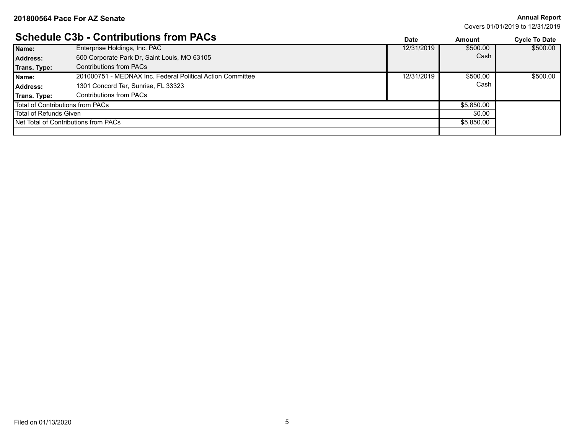### **Annual Report**

Covers 01/01/2019 to 12/31/2019

## **Schedule C3b - Contributions from PACs**

|                                         | <u> OCHCUUIC OUD - OOIIU IDUUUIIS II UIII I AOS</u>        | Date       | Amount     | <b>Cycle To Date</b> |
|-----------------------------------------|------------------------------------------------------------|------------|------------|----------------------|
| Name:                                   | Enterprise Holdings, Inc. PAC                              | 12/31/2019 | \$500.00   | \$500.00             |
| Address:                                | 600 Corporate Park Dr. Saint Louis, MO 63105               |            | Cash       |                      |
| Trans. Type:                            | <b>Contributions from PACs</b>                             |            |            |                      |
| Name:                                   | 201000751 - MEDNAX Inc. Federal Political Action Committee | 12/31/2019 | \$500.00   | \$500.00             |
| Address:                                | 1301 Concord Ter, Sunrise, FL 33323                        |            | Cash       |                      |
| Trans. Type:                            | <b>Contributions from PACs</b>                             |            |            |                      |
| <b>Total of Contributions from PACs</b> |                                                            |            | \$5,850.00 |                      |
| Total of Refunds Given                  |                                                            | \$0.00     |            |                      |
|                                         | Net Total of Contributions from PACs                       |            | \$5,850.00 |                      |
|                                         |                                                            |            |            |                      |